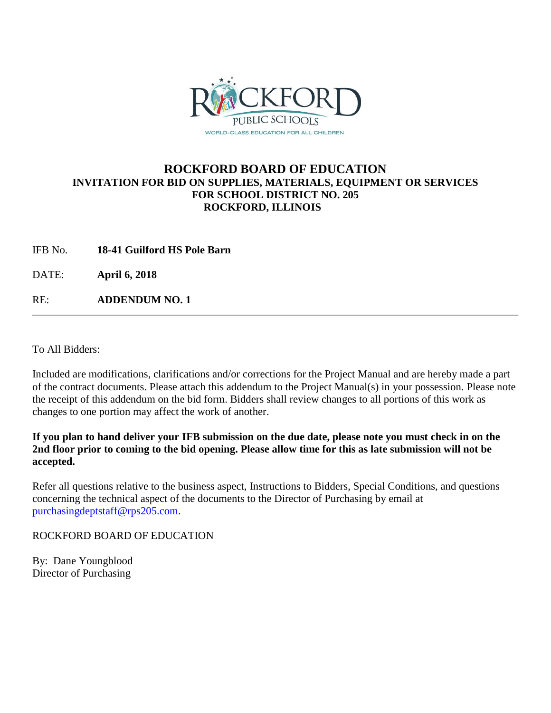

### **ROCKFORD BOARD OF EDUCATION INVITATION FOR BID ON SUPPLIES, MATERIALS, EQUIPMENT OR SERVICES FOR SCHOOL DISTRICT NO. 205 ROCKFORD, ILLINOIS**

IFB No. **18-41 Guilford HS Pole Barn**

DATE: **April 6, 2018**

RE: **ADDENDUM NO. 1**

To All Bidders:

Included are modifications, clarifications and/or corrections for the Project Manual and are hereby made a part of the contract documents. Please attach this addendum to the Project Manual(s) in your possession. Please note the receipt of this addendum on the bid form. Bidders shall review changes to all portions of this work as changes to one portion may affect the work of another.

#### **If you plan to hand deliver your IFB submission on the due date, please note you must check in on the 2nd floor prior to coming to the bid opening. Please allow time for this as late submission will not be accepted.**

Refer all questions relative to the business aspect, Instructions to Bidders, Special Conditions, and questions concerning the technical aspect of the documents to the Director of Purchasing by email at [purchasingdeptstaff@rps205.com.](mailto:purchasingdeptstaff@rps205.com)

#### ROCKFORD BOARD OF EDUCATION

By: Dane Youngblood Director of Purchasing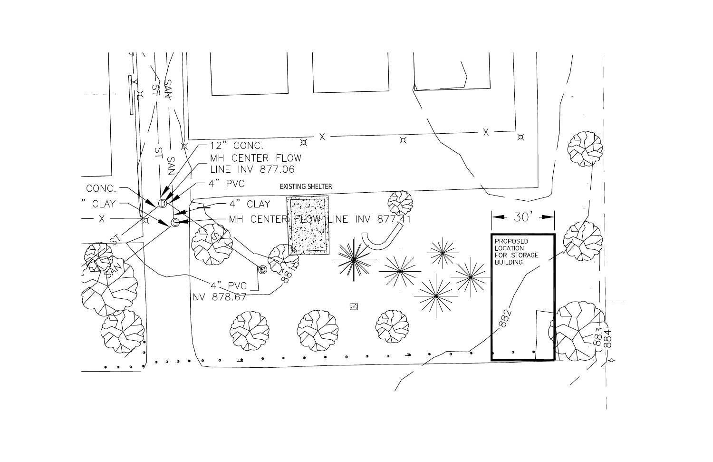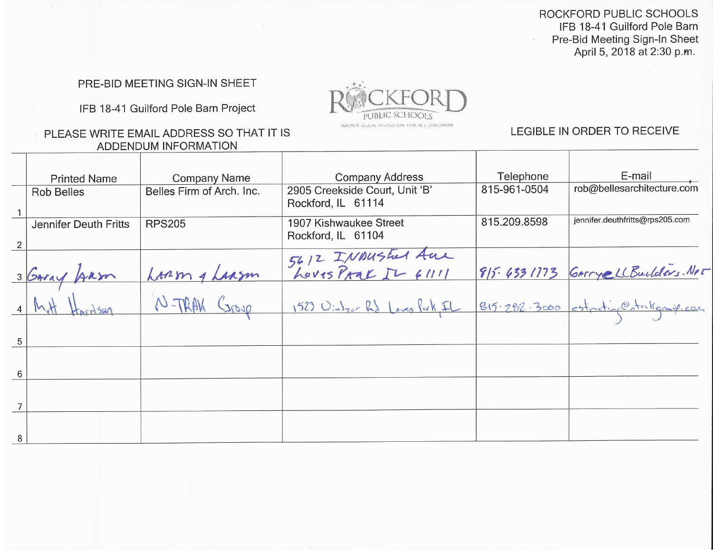## ROCKFORD PUBLIC SCHOOLS IFB 18-41 Guilford Pole Barn Pre-Bid Meeting Sign-In Sheet April 5, 2018 at 2:30 p.m.

## PRE-BID MEETING SIGN-IN SHEET

IFB 18-41 Guilford Pole Barn Project



#### PLEASE WRITE EMAIL ADDRESS SO THAT IT IS ADDENDUM INFORMATION

## LEGIBLE IN ORDER TO RECEIVE

|   | <b>Printed Name</b>          | <b>Company Name</b>       | <b>Company Address</b>                               | Telephone     | E-mail                                |
|---|------------------------------|---------------------------|------------------------------------------------------|---------------|---------------------------------------|
|   | <b>Rob Belles</b>            | Belles Firm of Arch. Inc. | 2905 Creekside Court, Unit 'B'<br>Rockford, IL 61114 | 815-961-0504  | rob@bellesarchitecture.com            |
| 2 | <b>Jennifer Deuth Fritts</b> | <b>RPS205</b>             | 1907 Kishwaukee Street<br>Rockford, IL 61104         | 815.209.8598  | jennifer.deuthfritts@rps205.com       |
|   | 3 GARAY ARSON                |                           | 5612 INBUSKel Aue                                    | 815. 433 1773 | GATTYCLLBuilders. No.                 |
|   |                              | Los on & Lasm             | 1523 Wintgor Rd Loves Park IL                        |               | 815-282-3000 estanting Catalographica |
| 5 |                              |                           |                                                      |               |                                       |
| 6 |                              |                           |                                                      |               |                                       |
|   |                              |                           |                                                      |               |                                       |
| 8 |                              |                           |                                                      |               |                                       |